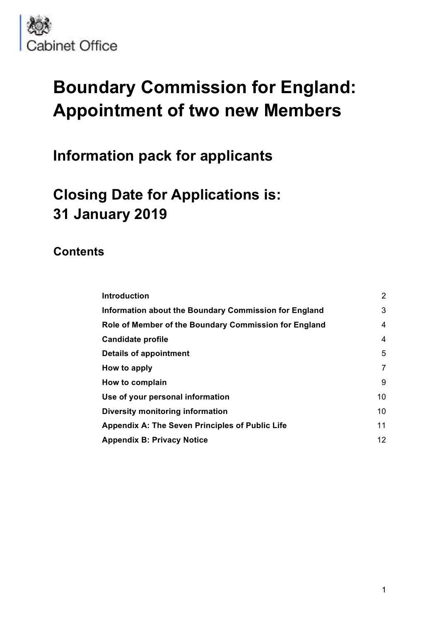

# **Boundary Commission for England: Appointment of two new Members**

## **Information pack for applicants**

# **Closing Date for Applications is: 31 January 2019**

### **Contents**

| <b>Introduction</b>                                    | $\overline{2}$ |
|--------------------------------------------------------|----------------|
| Information about the Boundary Commission for England  | 3              |
| Role of Member of the Boundary Commission for England  | 4              |
| <b>Candidate profile</b>                               | 4              |
| Details of appointment                                 | 5              |
| How to apply                                           | $\overline{7}$ |
| How to complain                                        | 9              |
| Use of your personal information                       | 10             |
| Diversity monitoring information                       | 10             |
| <b>Appendix A: The Seven Principles of Public Life</b> | 11             |
| <b>Appendix B: Privacy Notice</b>                      | 12             |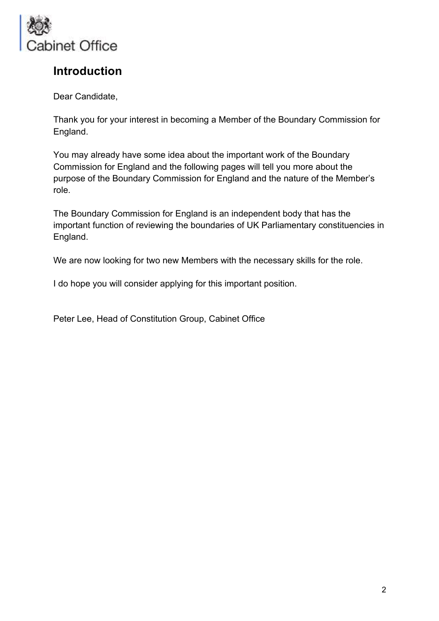

### **Introduction**

Dear Candidate,

Thank you for your interest in becoming a Member of the Boundary Commission for England.

You may already have some idea about the important work of the Boundary Commission for England and the following pages will tell you more about the purpose of the Boundary Commission for England and the nature of the Member's role.

The Boundary Commission for England is an independent body that has the important function of reviewing the boundaries of UK Parliamentary constituencies in England.

We are now looking for two new Members with the necessary skills for the role.

I do hope you will consider applying for this important position.

Peter Lee, Head of Constitution Group, Cabinet Office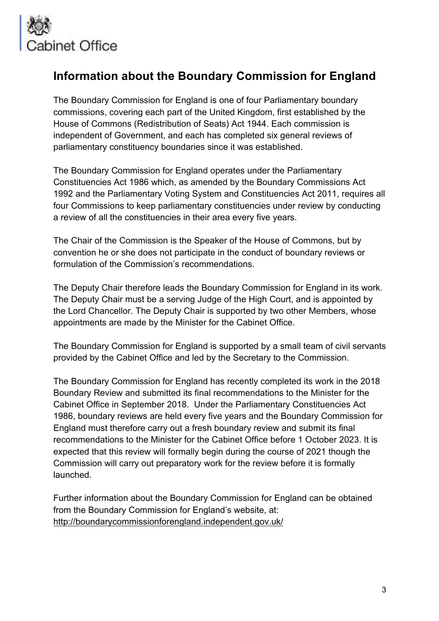

### **Information about the Boundary Commission for England**

The Boundary Commission for England is one of four Parliamentary boundary commissions, covering each part of the United Kingdom, first established by the House of Commons (Redistribution of Seats) Act 1944. Each commission is independent of Government, and each has completed six general reviews of parliamentary constituency boundaries since it was established.

The Boundary Commission for England operates under the Parliamentary Constituencies Act 1986 which, as amended by the Boundary Commissions Act 1992 and the Parliamentary Voting System and Constituencies Act 2011, requires all four Commissions to keep parliamentary constituencies under review by conducting a review of all the constituencies in their area every five years.

The Chair of the Commission is the Speaker of the House of Commons, but by convention he or she does not participate in the conduct of boundary reviews or formulation of the Commission's recommendations.

The Deputy Chair therefore leads the Boundary Commission for England in its work. The Deputy Chair must be a serving Judge of the High Court, and is appointed by the Lord Chancellor. The Deputy Chair is supported by two other Members, whose appointments are made by the Minister for the Cabinet Office.

The Boundary Commission for England is supported by a small team of civil servants provided by the Cabinet Office and led by the Secretary to the Commission.

The Boundary Commission for England has recently completed its work in the 2018 Boundary Review and submitted its final recommendations to the Minister for the Cabinet Office in September 2018. Under the Parliamentary Constituencies Act 1986, boundary reviews are held every five years and the Boundary Commission for England must therefore carry out a fresh boundary review and submit its final recommendations to the Minister for the Cabinet Office before 1 October 2023. It is expected that this review will formally begin during the course of 2021 though the Commission will carry out preparatory work for the review before it is formally launched.

Further information about the Boundary Commission for England can be obtained from the Boundary Commission for England's website, at: http://boundarycommissionforengland.independent.gov.uk/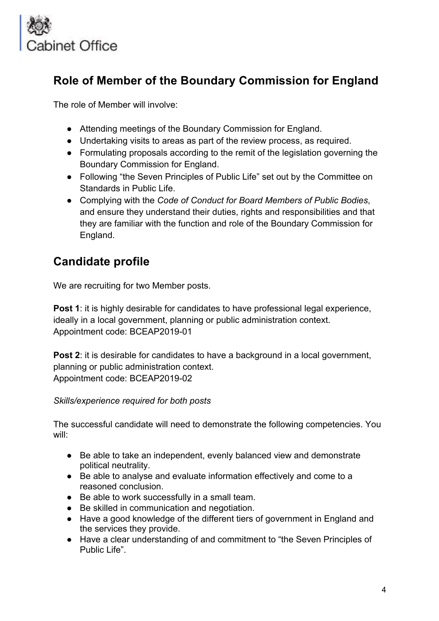

### **Role of Member of the Boundary Commission for England**

The role of Member will involve:

- Attending meetings of the Boundary Commission for England.
- Undertaking visits to areas as part of the review process, as required.
- Formulating proposals according to the remit of the legislation governing the Boundary Commission for England.
- Following "the Seven Principles of Public Life" set out by the Committee on Standards in Public Life.
- Complying with the *Code of Conduct for Board Members of Public Bodies*, and ensure they understand their duties, rights and responsibilities and that they are familiar with the function and role of the Boundary Commission for England.

### **Candidate profile**

We are recruiting for two Member posts.

**Post 1:** it is highly desirable for candidates to have professional legal experience, ideally in a local government, planning or public administration context. Appointment code: BCEAP2019-01

**Post 2:** it is desirable for candidates to have a background in a local government, planning or public administration context. Appointment code: BCEAP2019-02

*Skills/experience required for both posts*

The successful candidate will need to demonstrate the following competencies. You will:

- Be able to take an independent, evenly balanced view and demonstrate political neutrality.
- Be able to analyse and evaluate information effectively and come to a reasoned conclusion.
- Be able to work successfully in a small team.
- Be skilled in communication and negotiation.
- Have a good knowledge of the different tiers of government in England and the services they provide.
- Have a clear understanding of and commitment to "the Seven Principles of Public Life".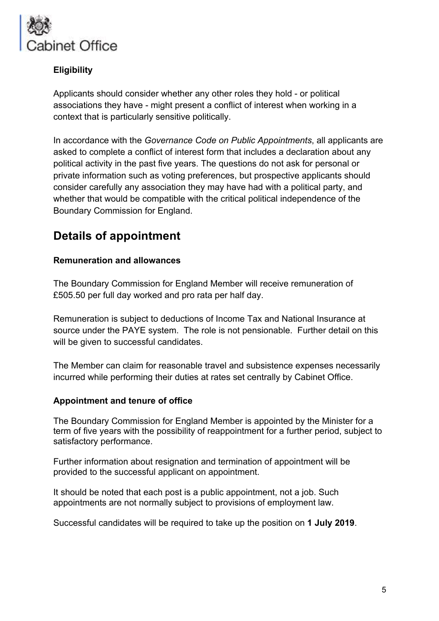

#### **Eligibility**

Applicants should consider whether any other roles they hold - or political associations they have - might present a conflict of interest when working in a context that is particularly sensitive politically.

In accordance with the *Governance Code on Public Appointments*, all applicants are asked to complete a conflict of interest form that includes a declaration about any political activity in the past five years. The questions do not ask for personal or private information such as voting preferences, but prospective applicants should consider carefully any association they may have had with a political party, and whether that would be compatible with the critical political independence of the Boundary Commission for England.

### **Details of appointment**

#### **Remuneration and allowances**

The Boundary Commission for England Member will receive remuneration of £505.50 per full day worked and pro rata per half day.

Remuneration is subject to deductions of Income Tax and National Insurance at source under the PAYE system. The role is not pensionable. Further detail on this will be given to successful candidates.

The Member can claim for reasonable travel and subsistence expenses necessarily incurred while performing their duties at rates set centrally by Cabinet Office.

#### **Appointment and tenure of office**

The Boundary Commission for England Member is appointed by the Minister for a term of five years with the possibility of reappointment for a further period, subject to satisfactory performance.

Further information about resignation and termination of appointment will be provided to the successful applicant on appointment.

It should be noted that each post is a public appointment, not a job. Such appointments are not normally subject to provisions of employment law.

Successful candidates will be required to take up the position on **1 July 2019**.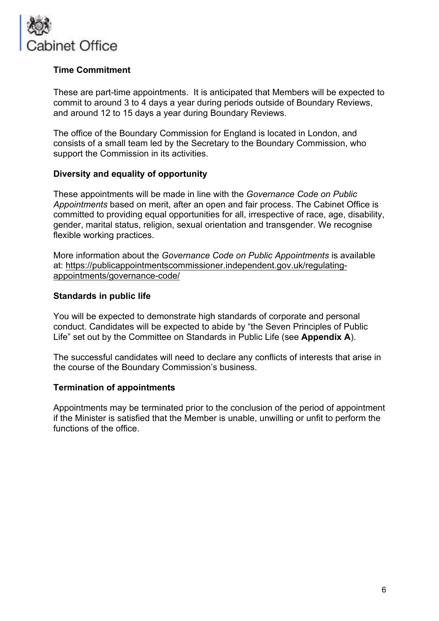

#### **Time Commitment**

These are part-time appointments. It is anticipated that Members will be expected to commit to around 3 to 4 days a year during periods outside of Boundary Reviews, and around 12 to 15 days a year during Boundary Reviews.

The office of the Boundary Commission for England is located in London, and consists of a small team led by the Secretary to the Boundary Commission, who support the Commission in its activities.

#### **Diversity and equality of opportunity**

These appointments will be made in line with the *Governance Code on Public Appointments* based on merit, after an open and fair process. The Cabinet Office is committed to providing equal opportunities for all, irrespective of race, age, disability, gender, marital status, religion, sexual orientation and transgender. We recognise flexible working practices.

More information about the *Governance Code on Public Appointments* is available at: https://publicappointmentscommissioner.independent.gov.uk/regulatingappointments/governance-code/

#### **Standards in public life**

You will be expected to demonstrate high standards of corporate and personal conduct. Candidates will be expected to abide by "the Seven Principles of Public Life" set out by the Committee on Standards in Public Life (see **Appendix A**).

The successful candidates will need to declare any conflicts of interests that arise in the course of the Boundary Commission's business.

#### **Termination of appointments**

Appointments may be terminated prior to the conclusion of the period of appointment if the Minister is satisfied that the Member is unable, unwilling or unfit to perform the functions of the office.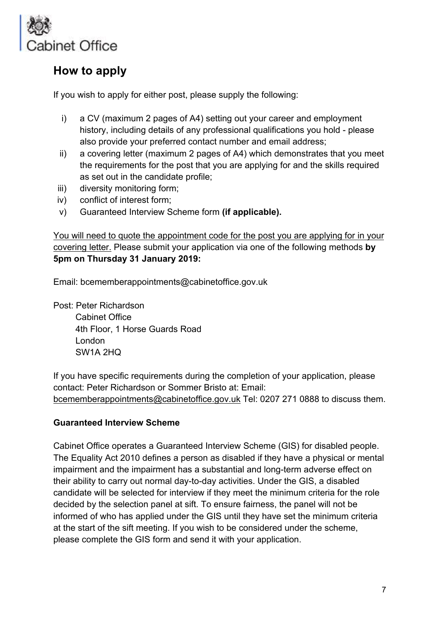

### **How to apply**

If you wish to apply for either post, please supply the following:

- i) a CV (maximum 2 pages of A4) setting out your career and employment history, including details of any professional qualifications you hold - please also provide your preferred contact number and email address;
- ii) a covering letter (maximum 2 pages of A4) which demonstrates that you meet the requirements for the post that you are applying for and the skills required as set out in the candidate profile;
- iii) diversity monitoring form;
- iv) conflict of interest form;
- v) Guaranteed Interview Scheme form **(if applicable).**

You will need to quote the appointment code for the post you are applying for in your covering letter. Please submit your application via one of the following methods **by 5pm on Thursday 31 January 2019:**

Email: bcememberappointments@cabinetoffice.gov.uk

Post: Peter Richardson Cabinet Office 4th Floor, 1 Horse Guards Road London SW1A 2HQ

If you have specific requirements during the completion of your application, please contact: Peter Richardson or Sommer Bristo at: Email: bcememberappointments@cabinetoffice.gov.uk Tel: 0207 271 0888 to discuss them.

#### **Guaranteed Interview Scheme**

Cabinet Office operates a Guaranteed Interview Scheme (GIS) for disabled people. The Equality Act 2010 defines a person as disabled if they have a physical or mental impairment and the impairment has a substantial and long-term adverse effect on their ability to carry out normal day-to-day activities. Under the GIS, a disabled candidate will be selected for interview if they meet the minimum criteria for the role decided by the selection panel at sift. To ensure fairness, the panel will not be informed of who has applied under the GIS until they have set the minimum criteria at the start of the sift meeting. If you wish to be considered under the scheme, please complete the GIS form and send it with your application.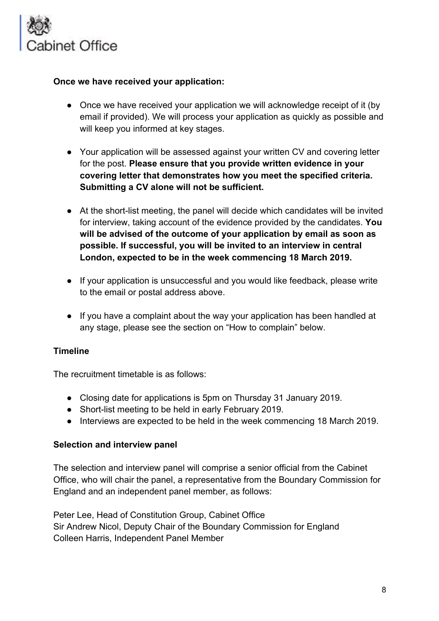

#### **Once we have received your application:**

- Once we have received your application we will acknowledge receipt of it (by email if provided). We will process your application as quickly as possible and will keep you informed at key stages.
- Your application will be assessed against your written CV and covering letter for the post. **Please ensure that you provide written evidence in your covering letter that demonstrates how you meet the specified criteria. Submitting a CV alone will not be sufficient.**
- At the short-list meeting, the panel will decide which candidates will be invited for interview, taking account of the evidence provided by the candidates. **You will be advised of the outcome of your application by email as soon as possible. If successful, you will be invited to an interview in central London, expected to be in the week commencing 18 March 2019.**
- If your application is unsuccessful and you would like feedback, please write to the email or postal address above.
- If you have a complaint about the way your application has been handled at any stage, please see the section on "How to complain" below.

#### **Timeline**

The recruitment timetable is as follows:

- Closing date for applications is 5pm on Thursday 31 January 2019.
- Short-list meeting to be held in early February 2019.
- Interviews are expected to be held in the week commencing 18 March 2019.

#### **Selection and interview panel**

The selection and interview panel will comprise a senior official from the Cabinet Office, who will chair the panel, a representative from the Boundary Commission for England and an independent panel member, as follows:

Peter Lee, Head of Constitution Group, Cabinet Office Sir Andrew Nicol, Deputy Chair of the Boundary Commission for England Colleen Harris, Independent Panel Member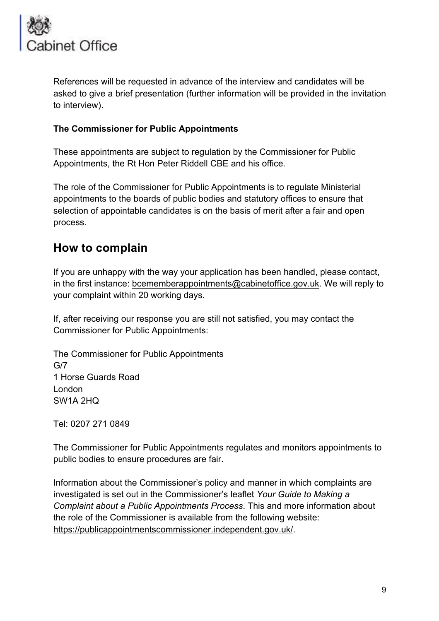

References will be requested in advance of the interview and candidates will be asked to give a brief presentation (further information will be provided in the invitation to interview).

#### **The Commissioner for Public Appointments**

These appointments are subject to regulation by the Commissioner for Public Appointments, the Rt Hon Peter Riddell CBE and his office.

The role of the Commissioner for Public Appointments is to regulate Ministerial appointments to the boards of public bodies and statutory offices to ensure that selection of appointable candidates is on the basis of merit after a fair and open process.

### **How to complain**

If you are unhappy with the way your application has been handled, please contact, in the first instance: bcememberappointments@cabinetoffice.gov.uk. We will reply to your complaint within 20 working days.

If, after receiving our response you are still not satisfied, you may contact the Commissioner for Public Appointments:

The Commissioner for Public Appointments G/7 1 Horse Guards Road London SW1A 2HQ

Tel: 0207 271 0849

The Commissioner for Public Appointments regulates and monitors appointments to public bodies to ensure procedures are fair.

Information about the Commissioner's policy and manner in which complaints are investigated is set out in the Commissioner's leaflet *Your Guide to Making a Complaint about a Public Appointments Process*. This and more information about the role of the Commissioner is available from the following website: https://publicappointmentscommissioner.independent.gov.uk/.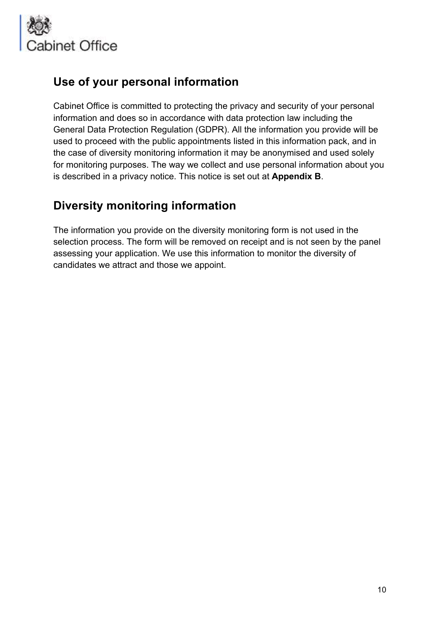

### **Use of your personal information**

Cabinet Office is committed to protecting the privacy and security of your personal information and does so in accordance with data protection law including the General Data Protection Regulation (GDPR). All the information you provide will be used to proceed with the public appointments listed in this information pack, and in the case of diversity monitoring information it may be anonymised and used solely for monitoring purposes. The way we collect and use personal information about you is described in a privacy notice. This notice is set out at **Appendix B**.

### **Diversity monitoring information**

The information you provide on the diversity monitoring form is not used in the selection process. The form will be removed on receipt and is not seen by the panel assessing your application. We use this information to monitor the diversity of candidates we attract and those we appoint.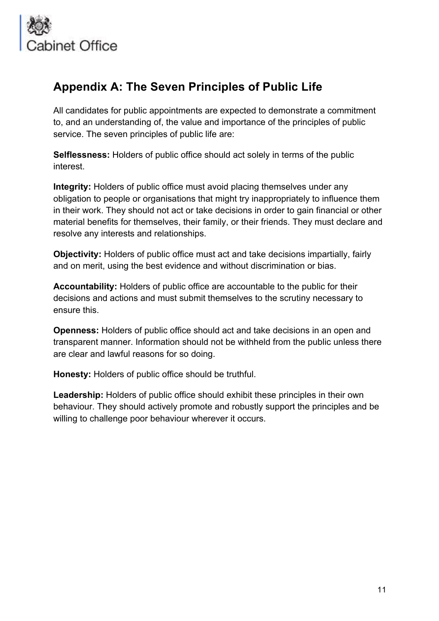

### **Appendix A: The Seven Principles of Public Life**

All candidates for public appointments are expected to demonstrate a commitment to, and an understanding of, the value and importance of the principles of public service. The seven principles of public life are:

**Selflessness:** Holders of public office should act solely in terms of the public interest.

**Integrity:** Holders of public office must avoid placing themselves under any obligation to people or organisations that might try inappropriately to influence them in their work. They should not act or take decisions in order to gain financial or other material benefits for themselves, their family, or their friends. They must declare and resolve any interests and relationships.

**Objectivity:** Holders of public office must act and take decisions impartially, fairly and on merit, using the best evidence and without discrimination or bias.

**Accountability:** Holders of public office are accountable to the public for their decisions and actions and must submit themselves to the scrutiny necessary to ensure this.

**Openness:** Holders of public office should act and take decisions in an open and transparent manner. Information should not be withheld from the public unless there are clear and lawful reasons for so doing.

**Honesty:** Holders of public office should be truthful.

Leadership: Holders of public office should exhibit these principles in their own behaviour. They should actively promote and robustly support the principles and be willing to challenge poor behaviour wherever it occurs.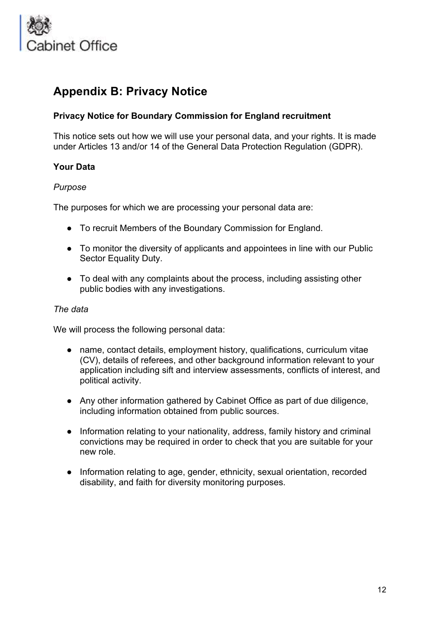

### **Appendix B: Privacy Notice**

#### **Privacy Notice for Boundary Commission for England recruitment**

This notice sets out how we will use your personal data, and your rights. It is made under Articles 13 and/or 14 of the General Data Protection Regulation (GDPR).

#### **Your Data**

#### *Purpose*

The purposes for which we are processing your personal data are:

- To recruit Members of the Boundary Commission for England.
- To monitor the diversity of applicants and appointees in line with our Public Sector Equality Duty.
- To deal with any complaints about the process, including assisting other public bodies with any investigations.

#### *The data*

We will process the following personal data:

- name, contact details, employment history, qualifications, curriculum vitae (CV), details of referees, and other background information relevant to your application including sift and interview assessments, conflicts of interest, and political activity.
- Any other information gathered by Cabinet Office as part of due diligence, including information obtained from public sources.
- Information relating to your nationality, address, family history and criminal convictions may be required in order to check that you are suitable for your new role.
- Information relating to age, gender, ethnicity, sexual orientation, recorded disability, and faith for diversity monitoring purposes.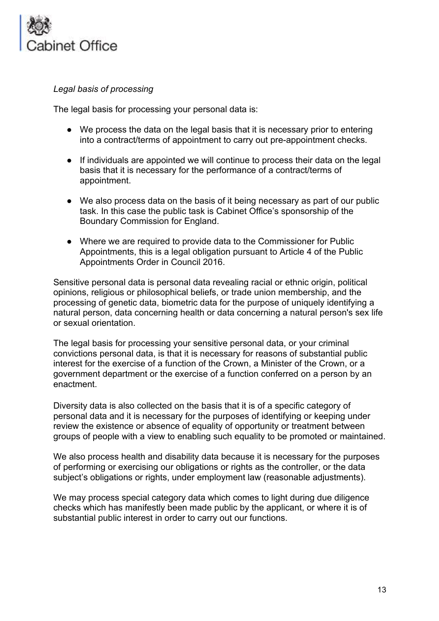

*Legal basis of processing* 

The legal basis for processing your personal data is:

- We process the data on the legal basis that it is necessary prior to entering into a contract/terms of appointment to carry out pre-appointment checks.
- If individuals are appointed we will continue to process their data on the legal basis that it is necessary for the performance of a contract/terms of appointment.
- We also process data on the basis of it being necessary as part of our public task. In this case the public task is Cabinet Office's sponsorship of the Boundary Commission for England.
- Where we are required to provide data to the Commissioner for Public Appointments, this is a legal obligation pursuant to Article 4 of the Public Appointments Order in Council 2016.

Sensitive personal data is personal data revealing racial or ethnic origin, political opinions, religious or philosophical beliefs, or trade union membership, and the processing of genetic data, biometric data for the purpose of uniquely identifying a natural person, data concerning health or data concerning a natural person's sex life or sexual orientation.

The legal basis for processing your sensitive personal data, or your criminal convictions personal data, is that it is necessary for reasons of substantial public interest for the exercise of a function of the Crown, a Minister of the Crown, or a government department or the exercise of a function conferred on a person by an enactment.

Diversity data is also collected on the basis that it is of a specific category of personal data and it is necessary for the purposes of identifying or keeping under review the existence or absence of equality of opportunity or treatment between groups of people with a view to enabling such equality to be promoted or maintained.

We also process health and disability data because it is necessary for the purposes of performing or exercising our obligations or rights as the controller, or the data subject's obligations or rights, under employment law (reasonable adjustments).

We may process special category data which comes to light during due diligence checks which has manifestly been made public by the applicant, or where it is of substantial public interest in order to carry out our functions.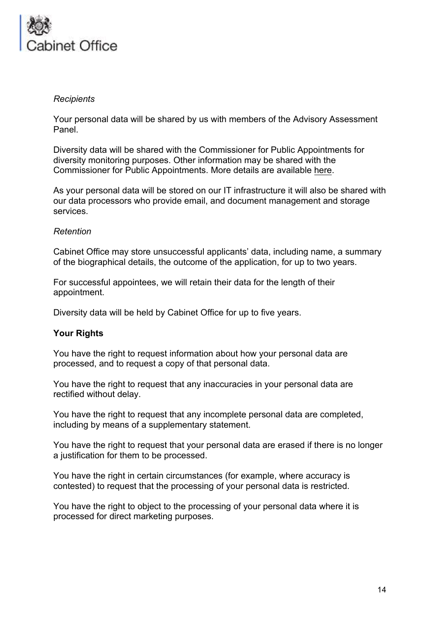

#### *Recipients*

Your personal data will be shared by us with members of the Advisory Assessment Panel.

Diversity data will be shared with the Commissioner for Public Appointments for diversity monitoring purposes. Other information may be shared with the Commissioner for Public Appointments. More details are available here.

As your personal data will be stored on our IT infrastructure it will also be shared with our data processors who provide email, and document management and storage services.

#### *Retention*

Cabinet Office may store unsuccessful applicants' data, including name, a summary of the biographical details, the outcome of the application, for up to two years.

For successful appointees, we will retain their data for the length of their appointment.

Diversity data will be held by Cabinet Office for up to five years.

#### **Your Rights**

You have the right to request information about how your personal data are processed, and to request a copy of that personal data.

You have the right to request that any inaccuracies in your personal data are rectified without delay.

You have the right to request that any incomplete personal data are completed, including by means of a supplementary statement.

You have the right to request that your personal data are erased if there is no longer a justification for them to be processed.

You have the right in certain circumstances (for example, where accuracy is contested) to request that the processing of your personal data is restricted.

You have the right to object to the processing of your personal data where it is processed for direct marketing purposes.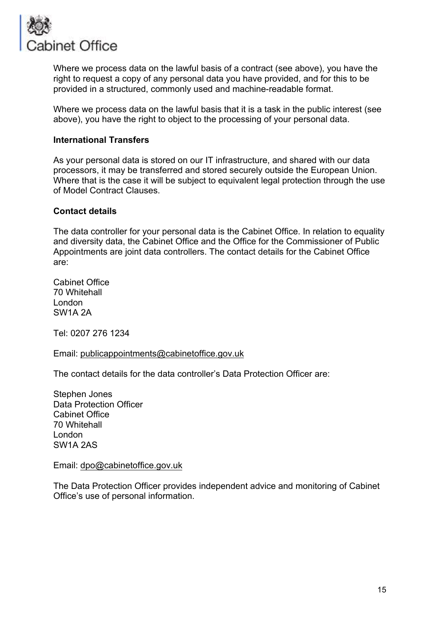

Where we process data on the lawful basis of a contract (see above), you have the right to request a copy of any personal data you have provided, and for this to be provided in a structured, commonly used and machine-readable format.

Where we process data on the lawful basis that it is a task in the public interest (see above), you have the right to object to the processing of your personal data.

#### **International Transfers**

As your personal data is stored on our IT infrastructure, and shared with our data processors, it may be transferred and stored securely outside the European Union. Where that is the case it will be subject to equivalent legal protection through the use of Model Contract Clauses.

#### **Contact details**

The data controller for your personal data is the Cabinet Office. In relation to equality and diversity data, the Cabinet Office and the Office for the Commissioner of Public Appointments are joint data controllers. The contact details for the Cabinet Office are:

Cabinet Office 70 Whitehall London SW1A 2A

Tel: 0207 276 1234

Email: publicappointments@cabinetoffice.gov.uk

The contact details for the data controller's Data Protection Officer are:

Stephen Jones Data Protection Officer Cabinet Office 70 Whitehall London SW1A 2AS

Email: dpo@cabinetoffice.gov.uk

The Data Protection Officer provides independent advice and monitoring of Cabinet Office's use of personal information.